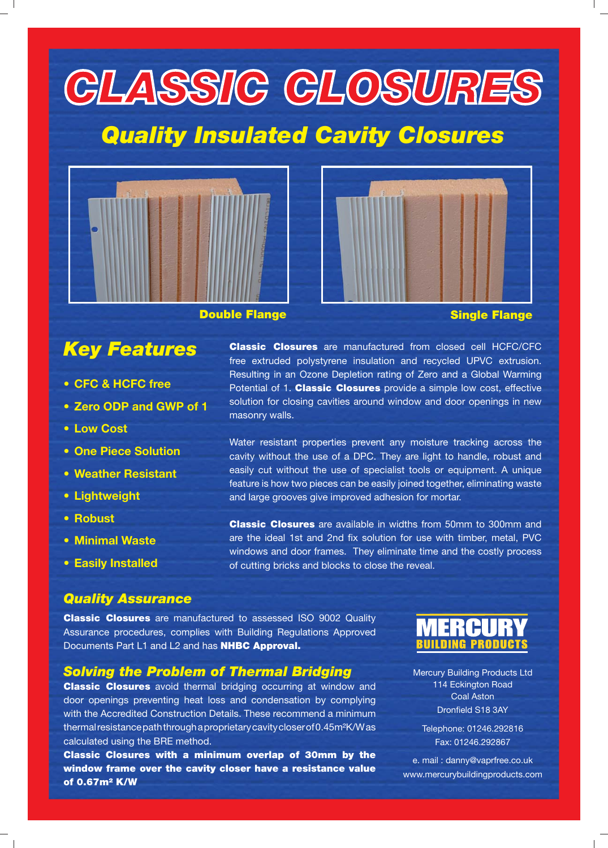# **CLASSIC CLOSURES**

## *Quality Insulated Cavity Closures*





#### **Double Flange Single Flange**

## *Key Features*

- **CFC & HCFC free**
- **Zero ODP and GWP of 1**
- **Low Cost**
- **One Piece Solution**
- **Weather Resistant**
- **Lightweight**
- **Robust**
- **Minimal Waste**
- **Easily Installed**

**Classic Closures** are manufactured from closed cell HCFC/CFC free extruded polystyrene insulation and recycled UPVC extrusion. Resulting in an Ozone Depletion rating of Zero and a Global Warming Potential of 1. **Classic Closures** provide a simple low cost, effective solution for closing cavities around window and door openings in new masonry walls.

Water resistant properties prevent any moisture tracking across the cavity without the use of a DPC. They are light to handle, robust and easily cut without the use of specialist tools or equipment. A unique feature is how two pieces can be easily joined together, eliminating waste and large grooves give improved adhesion for mortar.

**Classic Closures** are available in widths from 50mm to 300mm and are the ideal 1st and 2nd fix solution for use with timber, metal, PVC windows and door frames. They eliminate time and the costly process of cutting bricks and blocks to close the reveal.

#### *Quality Assurance*

**Classic Closures** are manufactured to assessed ISO 9002 Quality Assurance procedures, complies with Building Regulations Approved Documents Part L1 and L2 and has **NHBC Approval.**

#### *Solving the Problem of Thermal Bridging*

**Classic Closures** avoid thermal bridging occurring at window and door openings preventing heat loss and condensation by complying with the Accredited Construction Details. These recommend a minimum thermal resistance path through a proprietary cavity closer of 0.45m²K/W as calculated using the BRE method.

**Classic Closures with a minimum overlap of 30mm by the window frame over the cavity closer have a resistance value of 0.67m² K/W**



Mercury Building Products Ltd 114 Eckington Road Coal Aston Dronfield S18 3AY

Telephone: 01246.292816 Fax: 01246.292867

e. mail : danny@vaprfree.co.uk www.mercurybuildingproducts.com